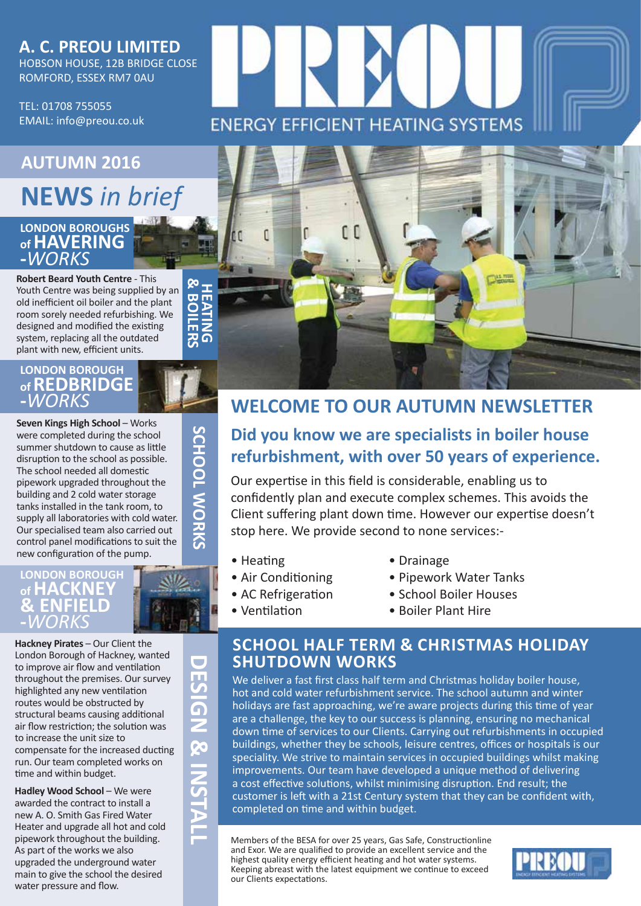### **A. C. PREOU LIMITED** HOBSON HOUSE, 12B BRIDGE CLOSE ROMFORD, ESSEX RM7 0AU

TEL: 01708 755055 EMAIL: info@preou.co.uk

# **AUTUMN 2016 www.preou.co.uk NEWS** *in brief*

### **LONDON BOROUGHS of HAVERING -***WORKS*

**Robert Beard Youth Centre** - This Youth Centre was being supplied by an old inefficient oil boiler and the plant room sorely needed refurbishing. We designed and modified the existing system, replacing all the outdated plant with new, efficient units.

### **LONDON BOROUGH of REDBRIDGE -***WORKS*

**Seven Kings High School** – Works were completed during the school summer shutdown to cause as little disruption to the school as possible. The school needed all domestic pipework upgraded throughout the building and 2 cold water storage tanks installed in the tank room, to supply all laboratories with cold water. Our specialised team also carried out control panel modifications to suit the new configuration of the pump.

### LONDON BOROUGH **of HACKNEY & ENFIELD -***WORKS*

**Hackney Pirates** – Our Client the London Borough of Hackney, wanted to improve air flow and ventilation throughout the premises. Our survey highlighted any new ventilation routes would be obstructed by structural beams causing additional air flow restriction; the solution was to increase the unit size to compensate for the increased ducting run. Our team completed works on time and within budget.

**Hadley Wood School - We were** awarded the contract to install a new A. O. Smith Gas Fired Water Heater and upgrade all hot and cold pipework throughout the building. As part of the works we also upgraded the underground water main to give the school the desired water pressure and flow.

**DESIGN & INSTALL** ESIGN & INSTAI

 $\mathcal{L}_{\mathcal{A}}$ 





# **WELCOME TO OUR AUTUMN NEWSLETTER**

# **Did you know we are specialists in boiler house refurbishment, with over 50 years of experience.**

Our expertise in this field is considerable, enabling us to confidently plan and execute complex schemes. This avoids the Client suffering plant down time. However our expertise doesn't stop here. We provide second to none services:-

- Heating
- Air Conditioning • AC Refrigeration
- Drainage
- Pipework Water Tanks
- School Boiler Houses
- Ventilation
- Boiler Plant Hire

## **SCHOOL HALF TERM & CHRISTMAS HOLIDAY SHUTDOWN WORKS**

We deliver a fast first class half term and Christmas holiday boiler house, hot and cold water refurbishment service. The school autumn and winter holidays are fast approaching, we're aware projects during this time of year are a challenge, the key to our success is planning, ensuring no mechanical down time of services to our Clients. Carrying out refurbishments in occupied buildings, whether they be schools, leisure centres, offices or hospitals is our speciality. We strive to maintain services in occupied buildings whilst making improvements. Our team have developed a unique method of delivering a cost effective solutions, whilst minimising disruption. End result; the customer is left with a 21st Century system that they can be confident with, completed on time and within budget.

Members of the BESA for over 25 years, Gas Safe, Constructionline and Exor. We are qualified to provide an excellent service and the highest quality energy efficient heating and hot water systems. Keeping abreast with the latest equipment we continue to exceed our Clients expectations.



SCHOOL WORKS